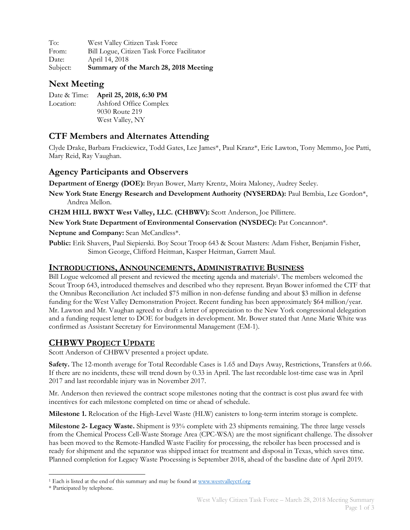To: West Valley Citizen Task Force From: Bill Logue, Citizen Task Force Facilitator Date: April 14, 2018 Subject: **Summary of the March 28, 2018 Meeting**

# **Next Meeting**

Date & Time: **April 25, 2018, 6:30 PM** Location: Ashford Office Complex 9030 Route 219 West Valley, NY

# **CTF Members and Alternates Attending**

Clyde Drake, Barbara Frackiewicz, Todd Gates, Lee James\*, Paul Kranz\*, Eric Lawton, Tony Memmo, Joe Patti, Mary Reid, Ray Vaughan.

## **Agency Participants and Observers**

**Department of Energy (DOE):** Bryan Bower, Marty Krentz, Moira Maloney, Audrey Seeley.

**New York State Energy Research and Development Authority (NYSERDA):** Paul Bembia, Lee Gordon\*, Andrea Mellon.

**CH2M HILL BWXT West Valley, LLC. (CHBWV):** Scott Anderson, Joe Pillittere.

**New York State Department of Environmental Conservation (NYSDEC):** Pat Concannon\*.

**Neptune and Company:** Sean McCandless\*.

**Public:** Erik Shavers, Paul Siepierski. Boy Scout Troop 643 & Scout Masters: Adam Fisher, Benjamin Fisher, Simon George, Clifford Heitman, Kasper Heitman, Garrett Maul.

#### **INTRODUCTIONS, ANNOUNCEMENTS, ADMINISTRATIVE BUSINESS**

Bill Logue welcomed all present and reviewed the meeting agenda and materials1. The members welcomed the Scout Troop 643, introduced themselves and described who they represent. Bryan Bower informed the CTF that the Omnibus Reconciliation Act included \$75 million in non-defense funding and about \$3 million in defense funding for the West Valley Demonstration Project. Recent funding has been approximately \$64 million/year. Mr. Lawton and Mr. Vaughan agreed to draft a letter of appreciation to the New York congressional delegation and a funding request letter to DOE for budgets in development. Mr. Bower stated that Anne Marie White was confirmed as Assistant Secretary for Environmental Management (EM-1).

## **CHBWV PROJECT UPDATE**

Scott Anderson of CHBWV presented a project update.

**Safety.** The 12-month average for Total Recordable Cases is 1.65 and Days Away, Restrictions, Transfers at 0.66. If there are no incidents, these will trend down by 0.33 in April. The last recordable lost-time case was in April 2017 and last recordable injury was in November 2017.

Mr. Anderson then reviewed the contract scope milestones noting that the contract is cost plus award fee with incentives for each milestone completed on time or ahead of schedule.

**Milestone 1.** Relocation of the High-Level Waste (HLW) canisters to long-term interim storage is complete.

**Milestone 2- Legacy Waste.** Shipment is 93% complete with 23 shipments remaining. The three large vessels from the Chemical Process Cell-Waste Storage Area (CPC-WSA) are the most significant challenge. The dissolver has been moved to the Remote-Handled Waste Facility for processing, the reboiler has been processed and is ready for shipment and the separator was shipped intact for treatment and disposal in Texas, which saves time. Planned completion for Legacy Waste Processing is September 2018, ahead of the baseline date of April 2019.

<sup>&</sup>lt;sup>1</sup> Each is listed at the end of this summary and may be found at www.westvalleyctf.org

<sup>\*</sup> Participated by telephone.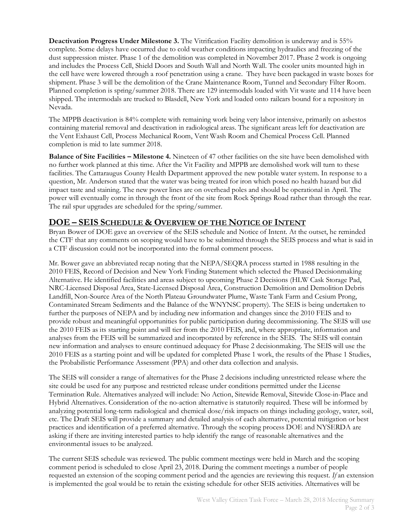**Deactivation Progress Under Milestone 3.** The Vitrification Facility demolition is underway and is 55% complete. Some delays have occurred due to cold weather conditions impacting hydraulics and freezing of the dust suppression mister. Phase 1 of the demolition was completed in November 2017. Phase 2 work is ongoing and includes the Process Cell, Shield Doors and South Wall and North Wall. The cooler units mounted high in the cell have were lowered through a roof penetration using a crane. They have been packaged in waste boxes for shipment. Phase 3 will be the demolition of the Crane Maintenance Room, Tunnel and Secondary Filter Room. Planned completion is spring/summer 2018. There are 129 intermodals loaded with Vit waste and 114 have been shipped. The intermodals are trucked to Blasdell, New York and loaded onto railcars bound for a repository in Nevada.

The MPPB deactivation is 84% complete with remaining work being very labor intensive, primarily on asbestos containing material removal and deactivation in radiological areas. The significant areas left for deactivation are the Vent Exhaust Cell, Process Mechanical Room, Vent Wash Room and Chemical Process Cell. Planned completion is mid to late summer 2018.

**Balance of Site Facilities – Milestone 4.** Nineteen of 47 other facilities on the site have been demolished with no further work planned at this time. After the Vit Facility and MPPB are demolished work will turn to these facilities. The Cattaraugus County Health Department approved the new potable water system. In response to a question, Mr. Anderson stated that the water was being treated for iron which posed no health hazard but did impact taste and staining. The new power lines are on overhead poles and should be operational in April. The power will eventually come in through the front of the site from Rock Springs Road rather than through the rear. The rail spur upgrades are scheduled for the spring/summer.

#### **DOE – SEIS SCHEDULE & OVERVIEW OF THE NOTICE OF INTENT**

Bryan Bower of DOE gave an overview of the SEIS schedule and Notice of Intent. At the outset, he reminded the CTF that any comments on scoping would have to be submitted through the SEIS process and what is said in a CTF discussion could not be incorporated into the formal comment process.

Mr. Bower gave an abbreviated recap noting that the NEPA/SEQRA process started in 1988 resulting in the 2010 FEIS, Record of Decision and New York Finding Statement which selected the Phased Decisionmaking Alternative. He identified facilities and areas subject to upcoming Phase 2 Decisions (HLW Cask Storage Pad, NRC-Licensed Disposal Area, State-Licensed Disposal Area, Construction Demolition and Demolition Debris Landfill, Non-Source Area of the North Plateau Groundwater Plume, Waste Tank Farm and Cesium Prong, Contaminated Stream Sediments and the Balance of the WNYNSC property). The SEIS is being undertaken to further the purposes of NEPA and by including new information and changes since the 2010 FEIS and to provide robust and meaningful opportunities for public participation during decommissioning. The SEIS will use the 2010 FEIS as its starting point and will tier from the 2010 FEIS, and, where appropriate, information and analyses from the FEIS will be summarized and incorporated by reference in the SEIS. The SEIS will contain new information and analyses to ensure continued adequacy for Phase 2 decisionmaking. The SEIS will use the 2010 FEIS as a starting point and will be updated for completed Phase 1 work, the results of the Phase 1 Studies, the Probabilistic Performance Assessment (PPA) and other data collection and analysis.

The SEIS will consider a range of alternatives for the Phase 2 decisions including unrestricted release where the site could be used for any purpose and restricted release under conditions permitted under the License Termination Rule. Alternatives analyzed will include: No Action, Sitewide Removal, Sitewide Close-in-Place and Hybrid Alternatives. Consideration of the no-action alternative is statutorily required. These will be informed by analyzing potential long-term radiological and chemical dose/risk impacts on things including geology, water, soil, etc. The Draft SEIS will provide a summary and detailed analysis of each alternative, potential mitigation or best practices and identification of a preferred alternative. Through the scoping process DOE and NYSERDA are asking if there are inviting interested parties to help identify the range of reasonable alternatives and the environmental issues to be analyzed.

The current SEIS schedule was reviewed. The public comment meetings were held in March and the scoping comment period is scheduled to close April 23, 2018. During the comment meetings a number of people requested an extension of the scoping comment period and the agencies are reviewing this request. *If* an extension is implemented the goal would be to retain the existing schedule for other SEIS activities. Alternatives will be